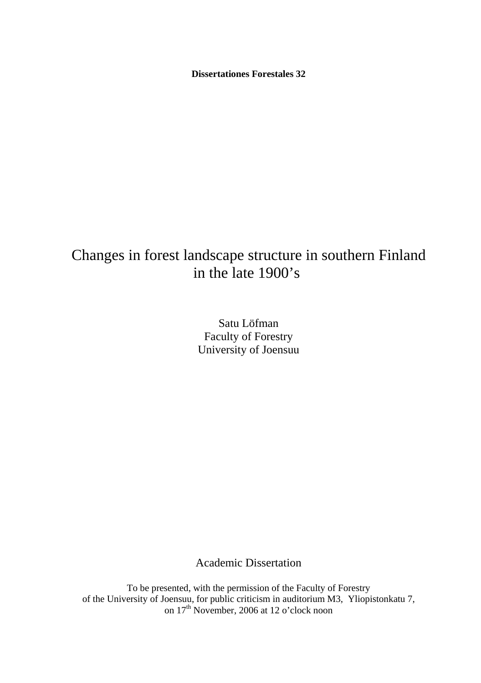**Dissertationes Forestales 32**

# Changes in forest landscape structure in southern Finland in the late 1900's

Satu Löfman Faculty of Forestry University of Joensuu

Academic Dissertation

To be presented, with the permission of the Faculty of Forestry of the University of Joensuu, for public criticism in auditorium M3, Yliopistonkatu 7, on 17<sup>th</sup> November, 2006 at 12 o'clock noon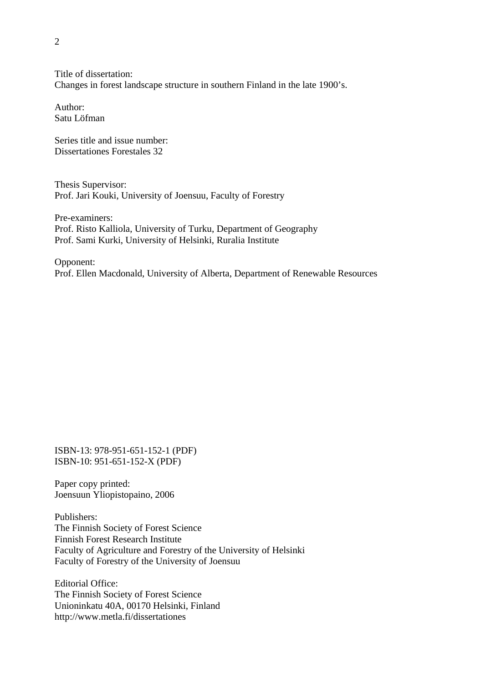Title of dissertation: Changes in forest landscape structure in southern Finland in the late 1900's.

Author: Satu Löfman

Series title and issue number: Dissertationes Forestales 32

Thesis Supervisor: Prof. Jari Kouki, University of Joensuu, Faculty of Forestry

Pre-examiners: Prof. Risto Kalliola, University of Turku, Department of Geography Prof. Sami Kurki, University of Helsinki, Ruralia Institute

Opponent: Prof. Ellen Macdonald, University of Alberta, Department of Renewable Resources

ISBN-13: 978-951-651-152-1 (PDF) ISBN-10: 951-651-152-X (PDF)

Paper copy printed: Joensuun Yliopistopaino, 2006

Publishers: The Finnish Society of Forest Science Finnish Forest Research Institute Faculty of Agriculture and Forestry of the University of Helsinki Faculty of Forestry of the University of Joensuu

Editorial Office: The Finnish Society of Forest Science Unioninkatu 40A, 00170 Helsinki, Finland http://www.metla.fi/dissertationes

 $\mathfrak{D}$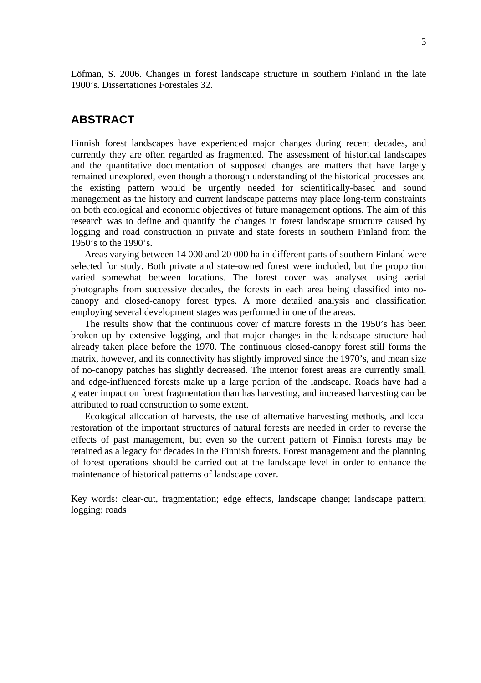Löfman, S. 2006. Changes in forest landscape structure in southern Finland in the late 1900's. Dissertationes Forestales 32.

### **ABSTRACT**

Finnish forest landscapes have experienced major changes during recent decades, and currently they are often regarded as fragmented. The assessment of historical landscapes and the quantitative documentation of supposed changes are matters that have largely remained unexplored, even though a thorough understanding of the historical processes and the existing pattern would be urgently needed for scientifically-based and sound management as the history and current landscape patterns may place long-term constraints on both ecological and economic objectives of future management options. The aim of this research was to define and quantify the changes in forest landscape structure caused by logging and road construction in private and state forests in southern Finland from the 1950's to the 1990's.

Areas varying between 14 000 and 20 000 ha in different parts of southern Finland were selected for study. Both private and state-owned forest were included, but the proportion varied somewhat between locations. The forest cover was analysed using aerial photographs from successive decades, the forests in each area being classified into nocanopy and closed-canopy forest types. A more detailed analysis and classification employing several development stages was performed in one of the areas.

The results show that the continuous cover of mature forests in the 1950's has been broken up by extensive logging, and that major changes in the landscape structure had already taken place before the 1970. The continuous closed-canopy forest still forms the matrix, however, and its connectivity has slightly improved since the 1970's, and mean size of no-canopy patches has slightly decreased. The interior forest areas are currently small, and edge-influenced forests make up a large portion of the landscape. Roads have had a greater impact on forest fragmentation than has harvesting, and increased harvesting can be attributed to road construction to some extent.

Ecological allocation of harvests, the use of alternative harvesting methods, and local restoration of the important structures of natural forests are needed in order to reverse the effects of past management, but even so the current pattern of Finnish forests may be retained as a legacy for decades in the Finnish forests. Forest management and the planning of forest operations should be carried out at the landscape level in order to enhance the maintenance of historical patterns of landscape cover.

Key words: clear-cut, fragmentation; edge effects, landscape change; landscape pattern; logging; roads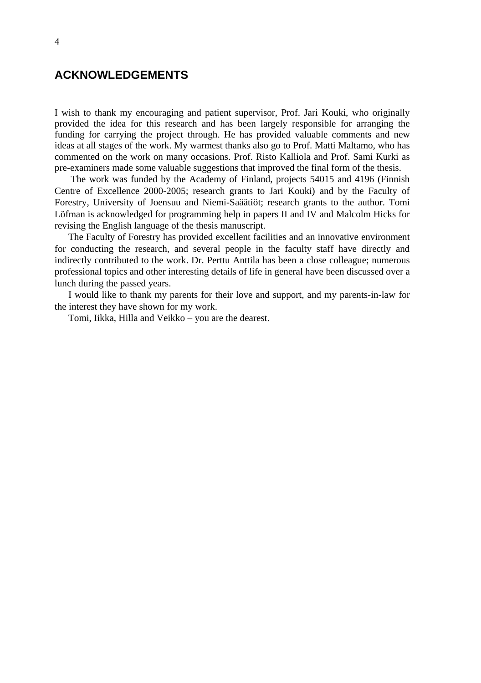## **ACKNOWLEDGEMENTS**

I wish to thank my encouraging and patient supervisor, Prof. Jari Kouki, who originally provided the idea for this research and has been largely responsible for arranging the funding for carrying the project through. He has provided valuable comments and new ideas at all stages of the work. My warmest thanks also go to Prof. Matti Maltamo, who has commented on the work on many occasions. Prof. Risto Kalliola and Prof. Sami Kurki as pre-examiners made some valuable suggestions that improved the final form of the thesis.

 The work was funded by the Academy of Finland, projects 54015 and 4196 (Finnish Centre of Excellence 2000-2005; research grants to Jari Kouki) and by the Faculty of Forestry, University of Joensuu and Niemi-Saäätiöt; research grants to the author. Tomi Löfman is acknowledged for programming help in papers II and IV and Malcolm Hicks for revising the English language of the thesis manuscript.

The Faculty of Forestry has provided excellent facilities and an innovative environment for conducting the research, and several people in the faculty staff have directly and indirectly contributed to the work. Dr. Perttu Anttila has been a close colleague; numerous professional topics and other interesting details of life in general have been discussed over a lunch during the passed years.

I would like to thank my parents for their love and support, and my parents-in-law for the interest they have shown for my work.

Tomi, Iikka, Hilla and Veikko – you are the dearest.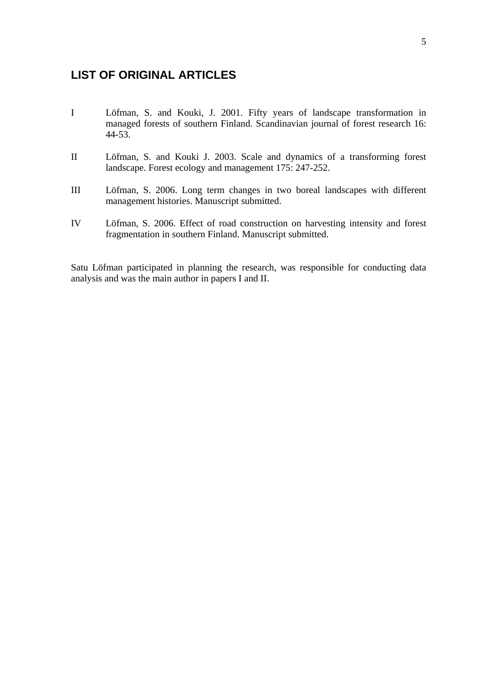## **LIST OF ORIGINAL ARTICLES**

- I Löfman, S. and Kouki, J. 2001. Fifty years of landscape transformation in managed forests of southern Finland. Scandinavian journal of forest research 16: 44-53.
- II Löfman, S. and Kouki J. 2003. Scale and dynamics of a transforming forest landscape. Forest ecology and management 175: 247-252.
- III Löfman, S. 2006. Long term changes in two boreal landscapes with different management histories. Manuscript submitted.
- IV Löfman, S. 2006. Effect of road construction on harvesting intensity and forest fragmentation in southern Finland. Manuscript submitted.

Satu Löfman participated in planning the research, was responsible for conducting data analysis and was the main author in papers I and II.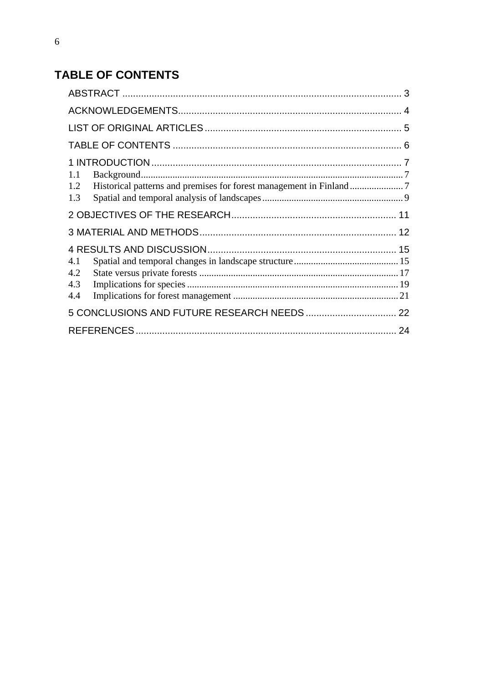# **TABLE OF CONTENTS**

| 1.1<br>1.2<br>1.3        |  |
|--------------------------|--|
|                          |  |
|                          |  |
| 4.1<br>4.2<br>4.3<br>4.4 |  |
|                          |  |
|                          |  |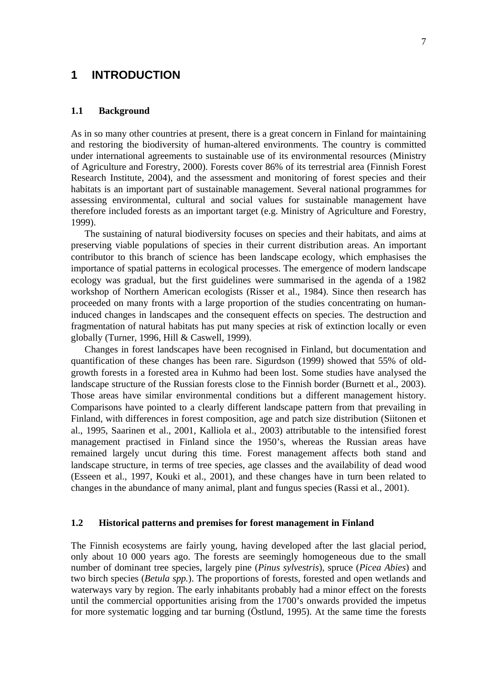### **1 INTRODUCTION**

#### **1.1 Background**

As in so many other countries at present, there is a great concern in Finland for maintaining and restoring the biodiversity of human-altered environments. The country is committed under international agreements to sustainable use of its environmental resources (Ministry of Agriculture and Forestry, 2000). Forests cover 86% of its terrestrial area (Finnish Forest Research Institute, 2004), and the assessment and monitoring of forest species and their habitats is an important part of sustainable management. Several national programmes for assessing environmental, cultural and social values for sustainable management have therefore included forests as an important target (e.g. Ministry of Agriculture and Forestry, 1999).

The sustaining of natural biodiversity focuses on species and their habitats, and aims at preserving viable populations of species in their current distribution areas. An important contributor to this branch of science has been landscape ecology, which emphasises the importance of spatial patterns in ecological processes. The emergence of modern landscape ecology was gradual, but the first guidelines were summarised in the agenda of a 1982 workshop of Northern American ecologists (Risser et al., 1984). Since then research has proceeded on many fronts with a large proportion of the studies concentrating on humaninduced changes in landscapes and the consequent effects on species. The destruction and fragmentation of natural habitats has put many species at risk of extinction locally or even globally (Turner, 1996, Hill & Caswell, 1999).

Changes in forest landscapes have been recognised in Finland, but documentation and quantification of these changes has been rare. Sigurdson (1999) showed that 55% of oldgrowth forests in a forested area in Kuhmo had been lost. Some studies have analysed the landscape structure of the Russian forests close to the Finnish border (Burnett et al., 2003). Those areas have similar environmental conditions but a different management history. Comparisons have pointed to a clearly different landscape pattern from that prevailing in Finland, with differences in forest composition, age and patch size distribution (Siitonen et al., 1995, Saarinen et al., 2001, Kalliola et al., 2003) attributable to the intensified forest management practised in Finland since the 1950's, whereas the Russian areas have remained largely uncut during this time. Forest management affects both stand and landscape structure, in terms of tree species, age classes and the availability of dead wood (Esseen et al., 1997, Kouki et al., 2001), and these changes have in turn been related to changes in the abundance of many animal, plant and fungus species (Rassi et al., 2001).

#### **1.2 Historical patterns and premises for forest management in Finland**

The Finnish ecosystems are fairly young, having developed after the last glacial period, only about 10 000 years ago. The forests are seemingly homogeneous due to the small number of dominant tree species, largely pine (*Pinus sylvestris*), spruce (*Picea Abies*) and two birch species (*Betula spp.*). The proportions of forests, forested and open wetlands and waterways vary by region. The early inhabitants probably had a minor effect on the forests until the commercial opportunities arising from the 1700's onwards provided the impetus for more systematic logging and tar burning (Östlund, 1995). At the same time the forests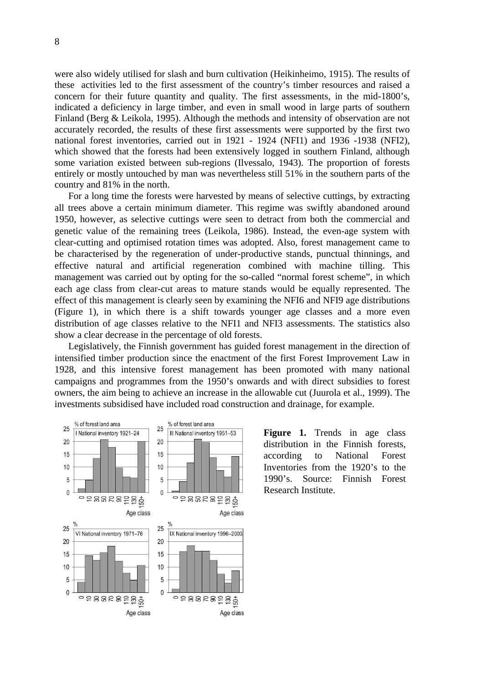were also widely utilised for slash and burn cultivation (Heikinheimo, 1915). The results of these activities led to the first assessment of the country's timber resources and raised a concern for their future quantity and quality. The first assessments, in the mid-1800's, indicated a deficiency in large timber, and even in small wood in large parts of southern Finland (Berg & Leikola, 1995). Although the methods and intensity of observation are not accurately recorded, the results of these first assessments were supported by the first two national forest inventories, carried out in 1921 - 1924 (NFI1) and 1936 -1938 (NFI2), which showed that the forests had been extensively logged in southern Finland, although some variation existed between sub-regions (Ilvessalo, 1943). The proportion of forests entirely or mostly untouched by man was nevertheless still 51% in the southern parts of the country and 81% in the north.

For a long time the forests were harvested by means of selective cuttings, by extracting all trees above a certain minimum diameter. This regime was swiftly abandoned around 1950, however, as selective cuttings were seen to detract from both the commercial and genetic value of the remaining trees (Leikola, 1986). Instead, the even-age system with clear-cutting and optimised rotation times was adopted. Also, forest management came to be characterised by the regeneration of under-productive stands, punctual thinnings, and effective natural and artificial regeneration combined with machine tilling. This management was carried out by opting for the so-called "normal forest scheme", in which each age class from clear-cut areas to mature stands would be equally represented. The effect of this management is clearly seen by examining the NFI6 and NFI9 age distributions (Figure 1), in which there is a shift towards younger age classes and a more even distribution of age classes relative to the NFI1 and NFI3 assessments. The statistics also show a clear decrease in the percentage of old forests.

Legislatively, the Finnish government has guided forest management in the direction of intensified timber production since the enactment of the first Forest Improvement Law in 1928, and this intensive forest management has been promoted with many national campaigns and programmes from the 1950's onwards and with direct subsidies to forest owners, the aim being to achieve an increase in the allowable cut (Juurola et al., 1999). The investments subsidised have included road construction and drainage, for example.



**Figure 1.** Trends in age class distribution in the Finnish forests, according to National Forest Inventories from the 1920's to the 1990's. Source: Finnish Forest Research Institute.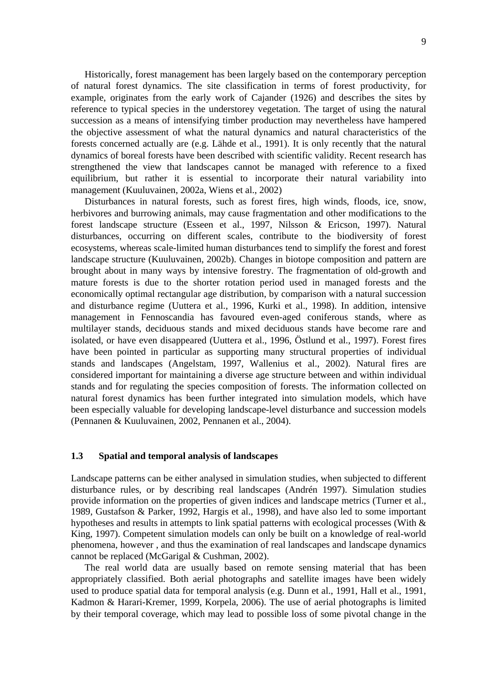Historically, forest management has been largely based on the contemporary perception of natural forest dynamics. The site classification in terms of forest productivity, for example, originates from the early work of Cajander (1926) and describes the sites by reference to typical species in the understorey vegetation. The target of using the natural succession as a means of intensifying timber production may nevertheless have hampered the objective assessment of what the natural dynamics and natural characteristics of the forests concerned actually are (e.g. Lähde et al., 1991). It is only recently that the natural dynamics of boreal forests have been described with scientific validity. Recent research has strengthened the view that landscapes cannot be managed with reference to a fixed equilibrium, but rather it is essential to incorporate their natural variability into management (Kuuluvainen, 2002a, Wiens et al., 2002)

Disturbances in natural forests, such as forest fires, high winds, floods, ice, snow, herbivores and burrowing animals, may cause fragmentation and other modifications to the forest landscape structure (Esseen et al., 1997, Nilsson & Ericson, 1997). Natural disturbances, occurring on different scales, contribute to the biodiversity of forest ecosystems, whereas scale-limited human disturbances tend to simplify the forest and forest landscape structure (Kuuluvainen, 2002b). Changes in biotope composition and pattern are brought about in many ways by intensive forestry. The fragmentation of old-growth and mature forests is due to the shorter rotation period used in managed forests and the economically optimal rectangular age distribution, by comparison with a natural succession and disturbance regime (Uuttera et al., 1996, Kurki et al., 1998). In addition, intensive management in Fennoscandia has favoured even-aged coniferous stands, where as multilayer stands, deciduous stands and mixed deciduous stands have become rare and isolated, or have even disappeared (Uuttera et al., 1996, Östlund et al., 1997). Forest fires have been pointed in particular as supporting many structural properties of individual stands and landscapes (Angelstam, 1997, Wallenius et al., 2002). Natural fires are considered important for maintaining a diverse age structure between and within individual stands and for regulating the species composition of forests. The information collected on natural forest dynamics has been further integrated into simulation models, which have been especially valuable for developing landscape-level disturbance and succession models (Pennanen & Kuuluvainen, 2002, Pennanen et al., 2004).

#### **1.3 Spatial and temporal analysis of landscapes**

Landscape patterns can be either analysed in simulation studies, when subjected to different disturbance rules, or by describing real landscapes (Andrén 1997). Simulation studies provide information on the properties of given indices and landscape metrics (Turner et al., 1989, Gustafson & Parker, 1992, Hargis et al., 1998), and have also led to some important hypotheses and results in attempts to link spatial patterns with ecological processes (With & King, 1997). Competent simulation models can only be built on a knowledge of real-world phenomena, however , and thus the examination of real landscapes and landscape dynamics cannot be replaced (McGarigal & Cushman, 2002).

The real world data are usually based on remote sensing material that has been appropriately classified. Both aerial photographs and satellite images have been widely used to produce spatial data for temporal analysis (e.g. Dunn et al., 1991, Hall et al., 1991, Kadmon & Harari-Kremer, 1999, Korpela, 2006). The use of aerial photographs is limited by their temporal coverage, which may lead to possible loss of some pivotal change in the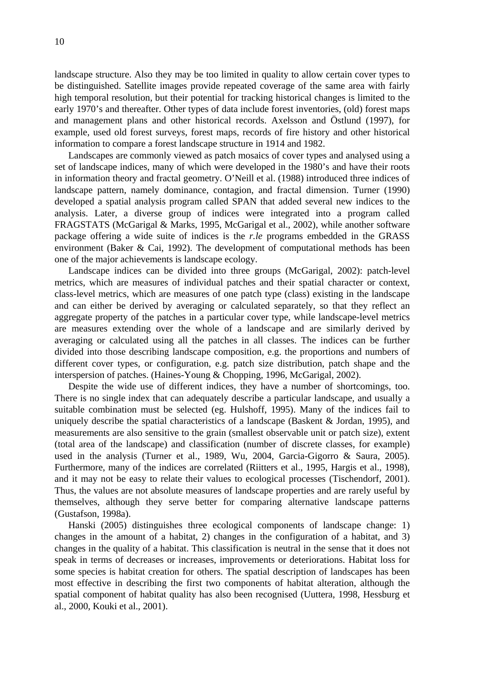landscape structure. Also they may be too limited in quality to allow certain cover types to be distinguished. Satellite images provide repeated coverage of the same area with fairly high temporal resolution, but their potential for tracking historical changes is limited to the early 1970's and thereafter. Other types of data include forest inventories, (old) forest maps and management plans and other historical records. Axelsson and Östlund (1997), for example, used old forest surveys, forest maps, records of fire history and other historical information to compare a forest landscape structure in 1914 and 1982.

Landscapes are commonly viewed as patch mosaics of cover types and analysed using a set of landscape indices, many of which were developed in the 1980's and have their roots in information theory and fractal geometry. O'Neill et al. (1988) introduced three indices of landscape pattern, namely dominance, contagion, and fractal dimension. Turner (1990) developed a spatial analysis program called SPAN that added several new indices to the analysis. Later, a diverse group of indices were integrated into a program called FRAGSTATS (McGarigal & Marks, 1995, McGarigal et al., 2002), while another software package offering a wide suite of indices is the *r.le* programs embedded in the GRASS environment (Baker & Cai, 1992). The development of computational methods has been one of the major achievements is landscape ecology.

Landscape indices can be divided into three groups (McGarigal, 2002): patch-level metrics, which are measures of individual patches and their spatial character or context, class-level metrics, which are measures of one patch type (class) existing in the landscape and can either be derived by averaging or calculated separately, so that they reflect an aggregate property of the patches in a particular cover type, while landscape-level metrics are measures extending over the whole of a landscape and are similarly derived by averaging or calculated using all the patches in all classes. The indices can be further divided into those describing landscape composition, e.g. the proportions and numbers of different cover types, or configuration, e.g. patch size distribution, patch shape and the interspersion of patches. (Haines-Young & Chopping, 1996, McGarigal, 2002).

Despite the wide use of different indices, they have a number of shortcomings, too. There is no single index that can adequately describe a particular landscape, and usually a suitable combination must be selected (eg. Hulshoff, 1995). Many of the indices fail to uniquely describe the spatial characteristics of a landscape (Baskent & Jordan, 1995), and measurements are also sensitive to the grain (smallest observable unit or patch size), extent (total area of the landscape) and classification (number of discrete classes, for example) used in the analysis (Turner et al., 1989, Wu, 2004, Garcia-Gigorro & Saura, 2005). Furthermore, many of the indices are correlated (Riitters et al., 1995, Hargis et al., 1998), and it may not be easy to relate their values to ecological processes (Tischendorf, 2001). Thus, the values are not absolute measures of landscape properties and are rarely useful by themselves, although they serve better for comparing alternative landscape patterns (Gustafson, 1998a).

Hanski (2005) distinguishes three ecological components of landscape change: 1) changes in the amount of a habitat, 2) changes in the configuration of a habitat, and 3) changes in the quality of a habitat. This classification is neutral in the sense that it does not speak in terms of decreases or increases, improvements or deteriorations. Habitat loss for some species is habitat creation for others. The spatial description of landscapes has been most effective in describing the first two components of habitat alteration, although the spatial component of habitat quality has also been recognised (Uuttera, 1998, Hessburg et al., 2000, Kouki et al., 2001).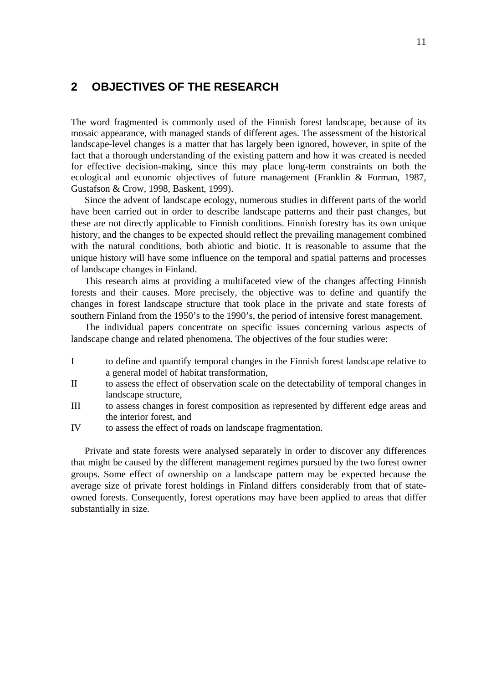### **2 OBJECTIVES OF THE RESEARCH**

The word fragmented is commonly used of the Finnish forest landscape, because of its mosaic appearance, with managed stands of different ages. The assessment of the historical landscape-level changes is a matter that has largely been ignored, however, in spite of the fact that a thorough understanding of the existing pattern and how it was created is needed for effective decision-making, since this may place long-term constraints on both the ecological and economic objectives of future management (Franklin & Forman, 1987, Gustafson & Crow, 1998, Baskent, 1999).

Since the advent of landscape ecology, numerous studies in different parts of the world have been carried out in order to describe landscape patterns and their past changes, but these are not directly applicable to Finnish conditions. Finnish forestry has its own unique history, and the changes to be expected should reflect the prevailing management combined with the natural conditions, both abiotic and biotic. It is reasonable to assume that the unique history will have some influence on the temporal and spatial patterns and processes of landscape changes in Finland.

This research aims at providing a multifaceted view of the changes affecting Finnish forests and their causes. More precisely, the objective was to define and quantify the changes in forest landscape structure that took place in the private and state forests of southern Finland from the 1950's to the 1990's, the period of intensive forest management.

The individual papers concentrate on specific issues concerning various aspects of landscape change and related phenomena. The objectives of the four studies were:

- I to define and quantify temporal changes in the Finnish forest landscape relative to a general model of habitat transformation,
- II to assess the effect of observation scale on the detectability of temporal changes in landscape structure,
- III to assess changes in forest composition as represented by different edge areas and the interior forest, and
- IV to assess the effect of roads on landscape fragmentation.

Private and state forests were analysed separately in order to discover any differences that might be caused by the different management regimes pursued by the two forest owner groups. Some effect of ownership on a landscape pattern may be expected because the average size of private forest holdings in Finland differs considerably from that of stateowned forests. Consequently, forest operations may have been applied to areas that differ substantially in size.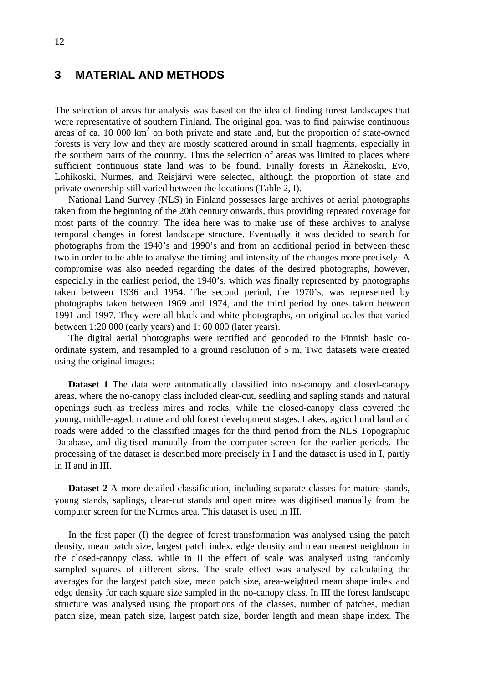## **3 MATERIAL AND METHODS**

The selection of areas for analysis was based on the idea of finding forest landscapes that were representative of southern Finland. The original goal was to find pairwise continuous areas of ca. 10 000  $km^2$  on both private and state land, but the proportion of state-owned forests is very low and they are mostly scattered around in small fragments, especially in the southern parts of the country. Thus the selection of areas was limited to places where sufficient continuous state land was to be found. Finally forests in Äänekoski, Evo, Lohikoski, Nurmes, and Reisjärvi were selected, although the proportion of state and private ownership still varied between the locations (Table 2, I).

National Land Survey (NLS) in Finland possesses large archives of aerial photographs taken from the beginning of the 20th century onwards, thus providing repeated coverage for most parts of the country. The idea here was to make use of these archives to analyse temporal changes in forest landscape structure. Eventually it was decided to search for photographs from the 1940's and 1990's and from an additional period in between these two in order to be able to analyse the timing and intensity of the changes more precisely. A compromise was also needed regarding the dates of the desired photographs, however, especially in the earliest period, the 1940's, which was finally represented by photographs taken between 1936 and 1954. The second period, the 1970's, was represented by photographs taken between 1969 and 1974, and the third period by ones taken between 1991 and 1997. They were all black and white photographs, on original scales that varied between 1:20 000 (early years) and 1: 60 000 (later years).

The digital aerial photographs were rectified and geocoded to the Finnish basic coordinate system, and resampled to a ground resolution of 5 m. Two datasets were created using the original images:

**Dataset 1** The data were automatically classified into no-canopy and closed-canopy areas, where the no-canopy class included clear-cut, seedling and sapling stands and natural openings such as treeless mires and rocks, while the closed-canopy class covered the young, middle-aged, mature and old forest development stages. Lakes, agricultural land and roads were added to the classified images for the third period from the NLS Topographic Database, and digitised manually from the computer screen for the earlier periods. The processing of the dataset is described more precisely in I and the dataset is used in I, partly in II and in III.

**Dataset 2** A more detailed classification, including separate classes for mature stands, young stands, saplings, clear-cut stands and open mires was digitised manually from the computer screen for the Nurmes area. This dataset is used in III.

In the first paper (I) the degree of forest transformation was analysed using the patch density, mean patch size, largest patch index, edge density and mean nearest neighbour in the closed-canopy class, while in II the effect of scale was analysed using randomly sampled squares of different sizes. The scale effect was analysed by calculating the averages for the largest patch size, mean patch size, area-weighted mean shape index and edge density for each square size sampled in the no-canopy class. In III the forest landscape structure was analysed using the proportions of the classes, number of patches, median patch size, mean patch size, largest patch size, border length and mean shape index. The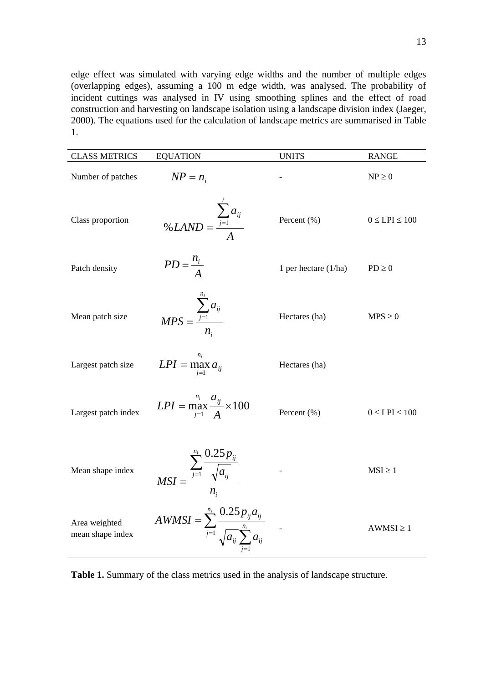edge effect was simulated with varying edge widths and the number of multiple edges (overlapping edges), assuming a 100 m edge width, was analysed. The probability of incident cuttings was analysed in IV using smoothing splines and the effect of road construction and harvesting on landscape isolation using a landscape division index (Jaeger, 2000). The equations used for the calculation of landscape metrics are summarised in Table 1.

| <b>CLASS METRICS</b>              | <b>EQUATION</b>                                                                             | <b>UNITS</b>         | <b>RANGE</b>        |
|-----------------------------------|---------------------------------------------------------------------------------------------|----------------------|---------------------|
| Number of patches                 | $NP = n_i$                                                                                  |                      | $NP \geq 0$         |
| Class proportion                  | % LAND = $\frac{\sum_{j=1}^{i} a_{ij}}{4}$                                                  | Percent (%)          | $0 \le LPI \le 100$ |
| Patch density                     | $PD = \frac{n_i}{A}$                                                                        | 1 per hectare (1/ha) | $PD \geq 0$         |
| Mean patch size                   | $MPS = \frac{\sum_{j=1}^{n_i} a_{ij}}{n_i}$                                                 | Hectares (ha)        | $MPS \geq 0$        |
| Largest patch size                | $LPI = \max_{i=1}^n a_{ij}$                                                                 | Hectares (ha)        |                     |
| Largest patch index               | $LPI = \max_{i=1}^{n_i} \frac{a_{ij}}{A} \times 100$                                        | Percent (%)          | $0 \le LPI \le 100$ |
| Mean shape index                  | $MSI = \frac{\sum_{j=1}^{m} \frac{0.25 p_{ij}}{\sqrt{a_{ij}}}$                              |                      | $MSI \geq 1$        |
| Area weighted<br>mean shape index | $AWMSI = \sum_{j=1}^{n_i} \frac{0.25 p_{ij} a_{ij}}{\sqrt{a_{ij}} \sum_{i=1}^{n_i} a_{ij}}$ |                      | $AWMSI \geq 1$      |

**Table 1.** Summary of the class metrics used in the analysis of landscape structure.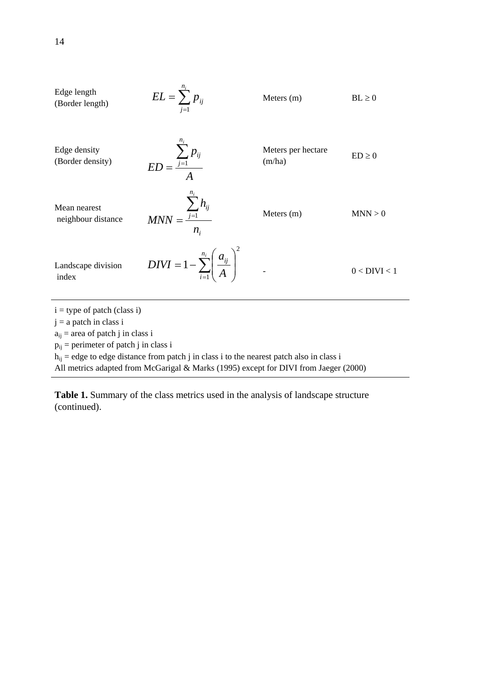Edge length  
\n(Border length)  
\nEdge density  
\n(Border density)  
\nMean nearest  
\nneighbor distance  
\nindex  
\n
$$
ED = \frac{\sum_{j=1}^{n_i} p_{ij}}{A}
$$
\n
$$
MDN = \frac{\sum_{j=1}^{n_i} h_{ij}}{n_i}
$$
\n
$$
Ments per hectare
$$
\n
$$
ED \ge 0
$$
\n
$$
MDN = \frac{\sum_{j=1}^{n_i} h_{ij}}{n_i}
$$
\n
$$
Ments (m)
$$
\n
$$
MNN > 0
$$
\n
$$
MNN > 0
$$
\n
$$
Nents (m)
$$
\n
$$
MNN > 0
$$
\n
$$
M = \frac{\sum_{j=1}^{n_i} h_{ij}}{n_i}
$$
\n
$$
Ments (m)
$$
\n
$$
MNN > 0
$$
\n
$$
MNN > 0
$$
\n
$$
Nents (m)
$$
\n
$$
MNN > 0
$$
\n
$$
Nents (m)
$$
\n
$$
MNN > 0
$$
\n
$$
Nents (m)
$$
\n
$$
MNN > 0
$$
\n
$$
Nents (m)
$$
\n
$$
MNN > 0
$$
\n
$$
Nents (m)
$$
\n
$$
O < DIVI < 1
$$
\n
$$
Pij = perimeter of patch j in class i
$$
\n
$$
p_{ij} = perimeter of patch j in class i
$$
\n
$$
p_{ij} = edge to edge distance from patch j in class i to the nearest patch also in class i
$$

All metrics adapted from McGarigal & Marks (1995) except for DIVI from Jaeger (2000)

**Table 1.** Summary of the class metrics used in the analysis of landscape structure (continued).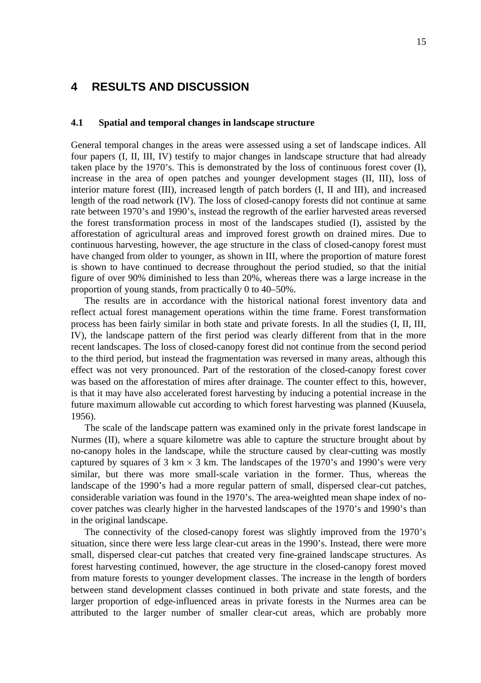### **4 RESULTS AND DISCUSSION**

#### **4.1 Spatial and temporal changes in landscape structure**

General temporal changes in the areas were assessed using a set of landscape indices. All four papers (I, II, III, IV) testify to major changes in landscape structure that had already taken place by the 1970's. This is demonstrated by the loss of continuous forest cover (I), increase in the area of open patches and younger development stages (II, III), loss of interior mature forest (III), increased length of patch borders (I, II and III), and increased length of the road network (IV). The loss of closed-canopy forests did not continue at same rate between 1970's and 1990's, instead the regrowth of the earlier harvested areas reversed the forest transformation process in most of the landscapes studied (I), assisted by the afforestation of agricultural areas and improved forest growth on drained mires. Due to continuous harvesting, however, the age structure in the class of closed-canopy forest must have changed from older to younger, as shown in III, where the proportion of mature forest is shown to have continued to decrease throughout the period studied, so that the initial figure of over 90% diminished to less than 20%, whereas there was a large increase in the proportion of young stands, from practically 0 to 40–50%.

The results are in accordance with the historical national forest inventory data and reflect actual forest management operations within the time frame. Forest transformation process has been fairly similar in both state and private forests. In all the studies (I, II, III, IV), the landscape pattern of the first period was clearly different from that in the more recent landscapes. The loss of closed-canopy forest did not continue from the second period to the third period, but instead the fragmentation was reversed in many areas, although this effect was not very pronounced. Part of the restoration of the closed-canopy forest cover was based on the afforestation of mires after drainage. The counter effect to this, however, is that it may have also accelerated forest harvesting by inducing a potential increase in the future maximum allowable cut according to which forest harvesting was planned (Kuusela, 1956).

The scale of the landscape pattern was examined only in the private forest landscape in Nurmes (II), where a square kilometre was able to capture the structure brought about by no-canopy holes in the landscape, while the structure caused by clear-cutting was mostly captured by squares of 3 km  $\times$  3 km. The landscapes of the 1970's and 1990's were very similar, but there was more small-scale variation in the former. Thus, whereas the landscape of the 1990's had a more regular pattern of small, dispersed clear-cut patches, considerable variation was found in the 1970's. The area-weighted mean shape index of nocover patches was clearly higher in the harvested landscapes of the 1970's and 1990's than in the original landscape.

The connectivity of the closed-canopy forest was slightly improved from the 1970's situation, since there were less large clear-cut areas in the 1990's. Instead, there were more small, dispersed clear-cut patches that created very fine-grained landscape structures. As forest harvesting continued, however, the age structure in the closed-canopy forest moved from mature forests to younger development classes. The increase in the length of borders between stand development classes continued in both private and state forests, and the larger proportion of edge-influenced areas in private forests in the Nurmes area can be attributed to the larger number of smaller clear-cut areas, which are probably more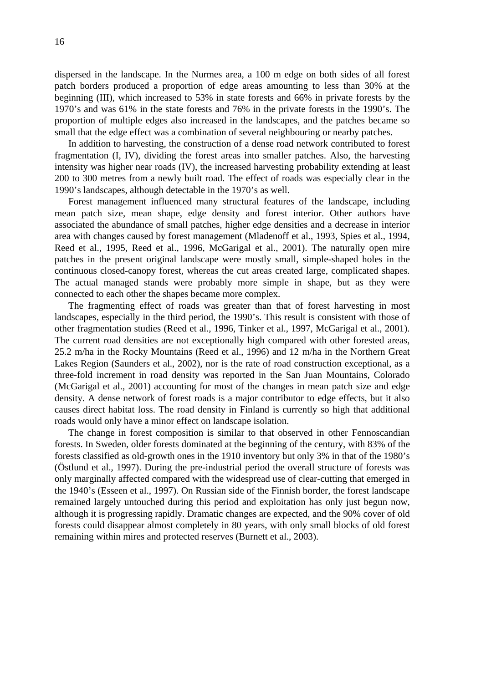dispersed in the landscape. In the Nurmes area, a 100 m edge on both sides of all forest patch borders produced a proportion of edge areas amounting to less than 30% at the beginning (III), which increased to 53% in state forests and 66% in private forests by the 1970's and was 61% in the state forests and 76% in the private forests in the 1990's. The proportion of multiple edges also increased in the landscapes, and the patches became so small that the edge effect was a combination of several neighbouring or nearby patches.

In addition to harvesting, the construction of a dense road network contributed to forest fragmentation (I, IV), dividing the forest areas into smaller patches. Also, the harvesting intensity was higher near roads (IV), the increased harvesting probability extending at least 200 to 300 metres from a newly built road. The effect of roads was especially clear in the 1990's landscapes, although detectable in the 1970's as well.

Forest management influenced many structural features of the landscape, including mean patch size, mean shape, edge density and forest interior. Other authors have associated the abundance of small patches, higher edge densities and a decrease in interior area with changes caused by forest management (Mladenoff et al., 1993, Spies et al., 1994, Reed et al., 1995, Reed et al., 1996, McGarigal et al., 2001). The naturally open mire patches in the present original landscape were mostly small, simple-shaped holes in the continuous closed-canopy forest, whereas the cut areas created large, complicated shapes. The actual managed stands were probably more simple in shape, but as they were connected to each other the shapes became more complex.

The fragmenting effect of roads was greater than that of forest harvesting in most landscapes, especially in the third period, the 1990's. This result is consistent with those of other fragmentation studies (Reed et al., 1996, Tinker et al., 1997, McGarigal et al., 2001). The current road densities are not exceptionally high compared with other forested areas, 25.2 m/ha in the Rocky Mountains (Reed et al., 1996) and 12 m/ha in the Northern Great Lakes Region (Saunders et al., 2002), nor is the rate of road construction exceptional, as a three-fold increment in road density was reported in the San Juan Mountains, Colorado (McGarigal et al., 2001) accounting for most of the changes in mean patch size and edge density. A dense network of forest roads is a major contributor to edge effects, but it also causes direct habitat loss. The road density in Finland is currently so high that additional roads would only have a minor effect on landscape isolation.

The change in forest composition is similar to that observed in other Fennoscandian forests. In Sweden, older forests dominated at the beginning of the century, with 83% of the forests classified as old-growth ones in the 1910 inventory but only 3% in that of the 1980's (Östlund et al., 1997). During the pre-industrial period the overall structure of forests was only marginally affected compared with the widespread use of clear-cutting that emerged in the 1940's (Esseen et al., 1997). On Russian side of the Finnish border, the forest landscape remained largely untouched during this period and exploitation has only just begun now, although it is progressing rapidly. Dramatic changes are expected, and the 90% cover of old forests could disappear almost completely in 80 years, with only small blocks of old forest remaining within mires and protected reserves (Burnett et al., 2003).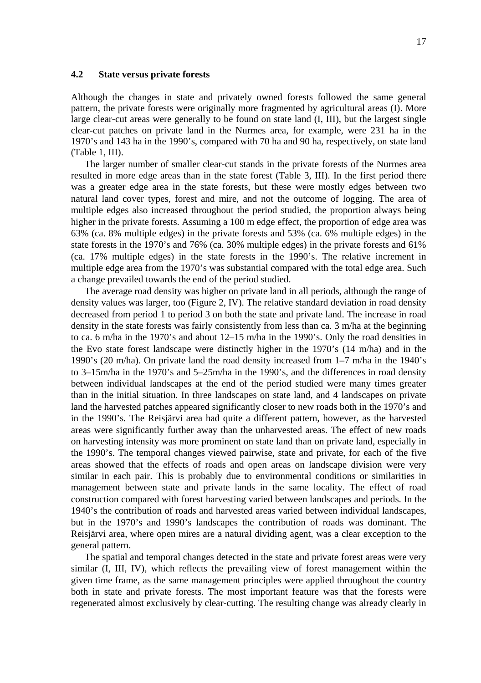#### **4.2 State versus private forests**

Although the changes in state and privately owned forests followed the same general pattern, the private forests were originally more fragmented by agricultural areas (I). More large clear-cut areas were generally to be found on state land (I, III), but the largest single clear-cut patches on private land in the Nurmes area, for example, were 231 ha in the 1970's and 143 ha in the 1990's, compared with 70 ha and 90 ha, respectively, on state land (Table 1, III).

The larger number of smaller clear-cut stands in the private forests of the Nurmes area resulted in more edge areas than in the state forest (Table 3, III). In the first period there was a greater edge area in the state forests, but these were mostly edges between two natural land cover types, forest and mire, and not the outcome of logging. The area of multiple edges also increased throughout the period studied, the proportion always being higher in the private forests. Assuming a 100 m edge effect, the proportion of edge area was 63% (ca. 8% multiple edges) in the private forests and 53% (ca. 6% multiple edges) in the state forests in the 1970's and 76% (ca. 30% multiple edges) in the private forests and 61% (ca. 17% multiple edges) in the state forests in the 1990's. The relative increment in multiple edge area from the 1970's was substantial compared with the total edge area. Such a change prevailed towards the end of the period studied.

The average road density was higher on private land in all periods, although the range of density values was larger, too (Figure 2, IV). The relative standard deviation in road density decreased from period 1 to period 3 on both the state and private land. The increase in road density in the state forests was fairly consistently from less than ca. 3 m/ha at the beginning to ca. 6 m/ha in the 1970's and about 12–15 m/ha in the 1990's. Only the road densities in the Evo state forest landscape were distinctly higher in the 1970's (14 m/ha) and in the 1990's (20 m/ha). On private land the road density increased from 1–7 m/ha in the 1940's to 3–15m/ha in the 1970's and 5–25m/ha in the 1990's, and the differences in road density between individual landscapes at the end of the period studied were many times greater than in the initial situation. In three landscapes on state land, and 4 landscapes on private land the harvested patches appeared significantly closer to new roads both in the 1970's and in the 1990's. The Reisjärvi area had quite a different pattern, however, as the harvested areas were significantly further away than the unharvested areas. The effect of new roads on harvesting intensity was more prominent on state land than on private land, especially in the 1990's. The temporal changes viewed pairwise, state and private, for each of the five areas showed that the effects of roads and open areas on landscape division were very similar in each pair. This is probably due to environmental conditions or similarities in management between state and private lands in the same locality. The effect of road construction compared with forest harvesting varied between landscapes and periods. In the 1940's the contribution of roads and harvested areas varied between individual landscapes, but in the 1970's and 1990's landscapes the contribution of roads was dominant. The Reisjärvi area, where open mires are a natural dividing agent, was a clear exception to the general pattern.

The spatial and temporal changes detected in the state and private forest areas were very similar (I, III, IV), which reflects the prevailing view of forest management within the given time frame, as the same management principles were applied throughout the country both in state and private forests. The most important feature was that the forests were regenerated almost exclusively by clear-cutting. The resulting change was already clearly in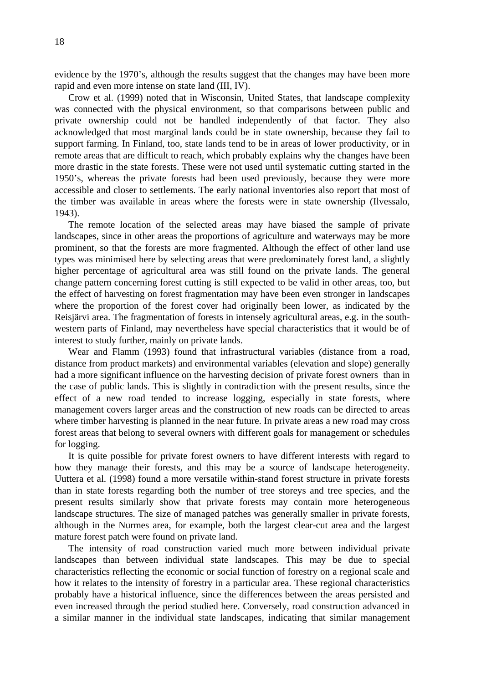evidence by the 1970's, although the results suggest that the changes may have been more rapid and even more intense on state land (III, IV).

Crow et al. (1999) noted that in Wisconsin, United States, that landscape complexity was connected with the physical environment, so that comparisons between public and private ownership could not be handled independently of that factor. They also acknowledged that most marginal lands could be in state ownership, because they fail to support farming. In Finland, too, state lands tend to be in areas of lower productivity, or in remote areas that are difficult to reach, which probably explains why the changes have been more drastic in the state forests. These were not used until systematic cutting started in the 1950's, whereas the private forests had been used previously, because they were more accessible and closer to settlements. The early national inventories also report that most of the timber was available in areas where the forests were in state ownership (Ilvessalo, 1943).

The remote location of the selected areas may have biased the sample of private landscapes, since in other areas the proportions of agriculture and waterways may be more prominent, so that the forests are more fragmented. Although the effect of other land use types was minimised here by selecting areas that were predominately forest land, a slightly higher percentage of agricultural area was still found on the private lands. The general change pattern concerning forest cutting is still expected to be valid in other areas, too, but the effect of harvesting on forest fragmentation may have been even stronger in landscapes where the proportion of the forest cover had originally been lower, as indicated by the Reisjärvi area. The fragmentation of forests in intensely agricultural areas, e.g. in the southwestern parts of Finland, may nevertheless have special characteristics that it would be of interest to study further, mainly on private lands.

Wear and Flamm (1993) found that infrastructural variables (distance from a road, distance from product markets) and environmental variables (elevation and slope) generally had a more significant influence on the harvesting decision of private forest owners than in the case of public lands. This is slightly in contradiction with the present results, since the effect of a new road tended to increase logging, especially in state forests, where management covers larger areas and the construction of new roads can be directed to areas where timber harvesting is planned in the near future. In private areas a new road may cross forest areas that belong to several owners with different goals for management or schedules for logging.

It is quite possible for private forest owners to have different interests with regard to how they manage their forests, and this may be a source of landscape heterogeneity. Uuttera et al. (1998) found a more versatile within-stand forest structure in private forests than in state forests regarding both the number of tree storeys and tree species, and the present results similarly show that private forests may contain more heterogeneous landscape structures. The size of managed patches was generally smaller in private forests, although in the Nurmes area, for example, both the largest clear-cut area and the largest mature forest patch were found on private land.

The intensity of road construction varied much more between individual private landscapes than between individual state landscapes. This may be due to special characteristics reflecting the economic or social function of forestry on a regional scale and how it relates to the intensity of forestry in a particular area. These regional characteristics probably have a historical influence, since the differences between the areas persisted and even increased through the period studied here. Conversely, road construction advanced in a similar manner in the individual state landscapes, indicating that similar management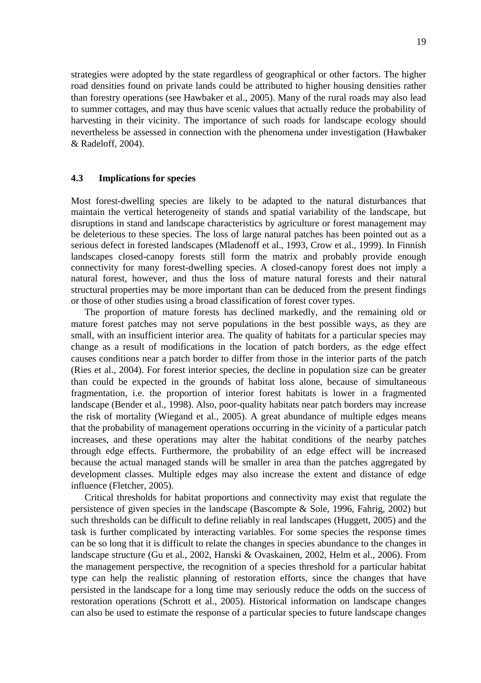strategies were adopted by the state regardless of geographical or other factors. The higher road densities found on private lands could be attributed to higher housing densities rather than forestry operations (see Hawbaker et al., 2005). Many of the rural roads may also lead to summer cottages, and may thus have scenic values that actually reduce the probability of harvesting in their vicinity. The importance of such roads for landscape ecology should nevertheless be assessed in connection with the phenomena under investigation (Hawbaker & Radeloff, 2004).

#### **4.3 Implications for species**

Most forest-dwelling species are likely to be adapted to the natural disturbances that maintain the vertical heterogeneity of stands and spatial variability of the landscape, but disruptions in stand and landscape characteristics by agriculture or forest management may be deleterious to these species. The loss of large natural patches has been pointed out as a serious defect in forested landscapes (Mladenoff et al., 1993, Crow et al., 1999). In Finnish landscapes closed-canopy forests still form the matrix and probably provide enough connectivity for many forest-dwelling species. A closed-canopy forest does not imply a natural forest, however, and thus the loss of mature natural forests and their natural structural properties may be more important than can be deduced from the present findings or those of other studies using a broad classification of forest cover types.

The proportion of mature forests has declined markedly, and the remaining old or mature forest patches may not serve populations in the best possible ways, as they are small, with an insufficient interior area. The quality of habitats for a particular species may change as a result of modifications in the location of patch borders, as the edge effect causes conditions near a patch border to differ from those in the interior parts of the patch (Ries et al., 2004). For forest interior species, the decline in population size can be greater than could be expected in the grounds of habitat loss alone, because of simultaneous fragmentation, i.e. the proportion of interior forest habitats is lower in a fragmented landscape (Bender et al., 1998). Also, poor-quality habitats near patch borders may increase the risk of mortality (Wiegand et al., 2005). A great abundance of multiple edges means that the probability of management operations occurring in the vicinity of a particular patch increases, and these operations may alter the habitat conditions of the nearby patches through edge effects. Furthermore, the probability of an edge effect will be increased because the actual managed stands will be smaller in area than the patches aggregated by development classes. Multiple edges may also increase the extent and distance of edge influence (Fletcher, 2005).

Critical thresholds for habitat proportions and connectivity may exist that regulate the persistence of given species in the landscape (Bascompte & Sole, 1996, Fahrig, 2002) but such thresholds can be difficult to define reliably in real landscapes (Huggett, 2005) and the task is further complicated by interacting variables. For some species the response times can be so long that it is difficult to relate the changes in species abundance to the changes in landscape structure (Gu et al., 2002, Hanski & Ovaskainen, 2002, Helm et al., 2006). From the management perspective, the recognition of a species threshold for a particular habitat type can help the realistic planning of restoration efforts, since the changes that have persisted in the landscape for a long time may seriously reduce the odds on the success of restoration operations (Schrott et al., 2005). Historical information on landscape changes can also be used to estimate the response of a particular species to future landscape changes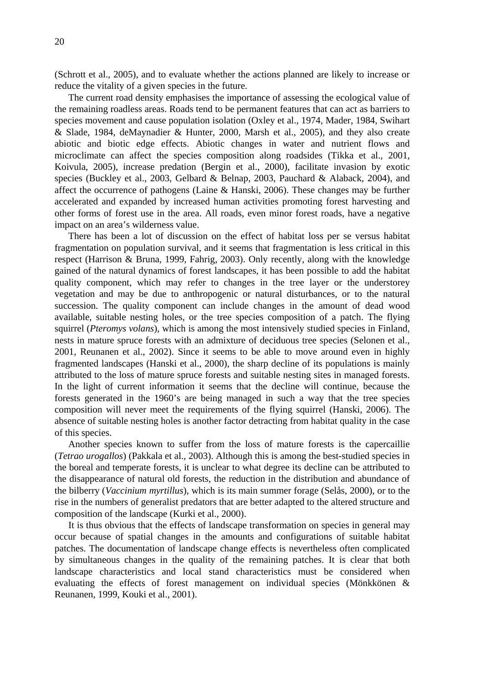(Schrott et al., 2005), and to evaluate whether the actions planned are likely to increase or reduce the vitality of a given species in the future.

The current road density emphasises the importance of assessing the ecological value of the remaining roadless areas. Roads tend to be permanent features that can act as barriers to species movement and cause population isolation (Oxley et al., 1974, Mader, 1984, Swihart & Slade, 1984, deMaynadier & Hunter, 2000, Marsh et al., 2005), and they also create abiotic and biotic edge effects. Abiotic changes in water and nutrient flows and microclimate can affect the species composition along roadsides (Tikka et al., 2001, Koivula, 2005), increase predation (Bergin et al., 2000), facilitate invasion by exotic species (Buckley et al., 2003, Gelbard & Belnap, 2003, Pauchard & Alaback, 2004), and affect the occurrence of pathogens (Laine & Hanski, 2006). These changes may be further accelerated and expanded by increased human activities promoting forest harvesting and other forms of forest use in the area. All roads, even minor forest roads, have a negative impact on an area's wilderness value.

There has been a lot of discussion on the effect of habitat loss per se versus habitat fragmentation on population survival, and it seems that fragmentation is less critical in this respect (Harrison & Bruna, 1999, Fahrig, 2003). Only recently, along with the knowledge gained of the natural dynamics of forest landscapes, it has been possible to add the habitat quality component, which may refer to changes in the tree layer or the understorey vegetation and may be due to anthropogenic or natural disturbances, or to the natural succession. The quality component can include changes in the amount of dead wood available, suitable nesting holes, or the tree species composition of a patch. The flying squirrel (*Pteromys volans*), which is among the most intensively studied species in Finland, nests in mature spruce forests with an admixture of deciduous tree species (Selonen et al., 2001, Reunanen et al., 2002). Since it seems to be able to move around even in highly fragmented landscapes (Hanski et al., 2000), the sharp decline of its populations is mainly attributed to the loss of mature spruce forests and suitable nesting sites in managed forests. In the light of current information it seems that the decline will continue, because the forests generated in the 1960's are being managed in such a way that the tree species composition will never meet the requirements of the flying squirrel (Hanski, 2006). The absence of suitable nesting holes is another factor detracting from habitat quality in the case of this species.

Another species known to suffer from the loss of mature forests is the capercaillie (*Tetrao urogallos*) (Pakkala et al., 2003). Although this is among the best-studied species in the boreal and temperate forests, it is unclear to what degree its decline can be attributed to the disappearance of natural old forests, the reduction in the distribution and abundance of the bilberry (*Vaccinium myrtillus*), which is its main summer forage (Selås, 2000), or to the rise in the numbers of generalist predators that are better adapted to the altered structure and composition of the landscape (Kurki et al., 2000).

It is thus obvious that the effects of landscape transformation on species in general may occur because of spatial changes in the amounts and configurations of suitable habitat patches. The documentation of landscape change effects is nevertheless often complicated by simultaneous changes in the quality of the remaining patches. It is clear that both landscape characteristics and local stand characteristics must be considered when evaluating the effects of forest management on individual species (Mönkkönen & Reunanen, 1999, Kouki et al., 2001).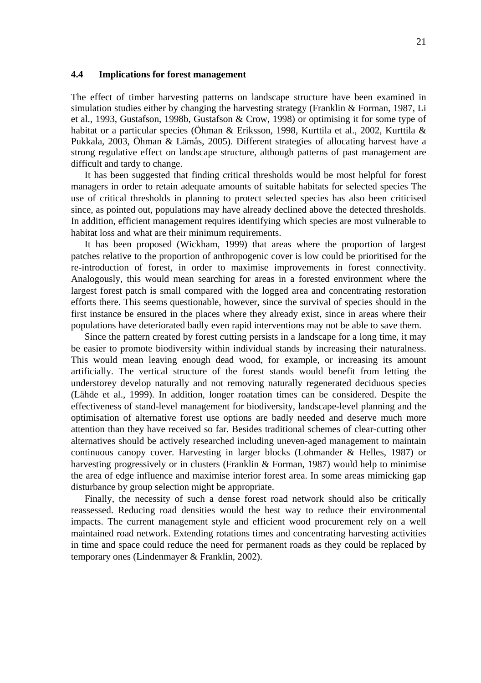#### **4.4 Implications for forest management**

The effect of timber harvesting patterns on landscape structure have been examined in simulation studies either by changing the harvesting strategy (Franklin & Forman, 1987, Li et al., 1993, Gustafson, 1998b, Gustafson & Crow, 1998) or optimising it for some type of habitat or a particular species (Öhman & Eriksson, 1998, Kurttila et al., 2002, Kurttila & Pukkala, 2003, Öhman & Lämås, 2005). Different strategies of allocating harvest have a strong regulative effect on landscape structure, although patterns of past management are difficult and tardy to change.

It has been suggested that finding critical thresholds would be most helpful for forest managers in order to retain adequate amounts of suitable habitats for selected species The use of critical thresholds in planning to protect selected species has also been criticised since, as pointed out, populations may have already declined above the detected thresholds. In addition, efficient management requires identifying which species are most vulnerable to habitat loss and what are their minimum requirements.

It has been proposed (Wickham, 1999) that areas where the proportion of largest patches relative to the proportion of anthropogenic cover is low could be prioritised for the re-introduction of forest, in order to maximise improvements in forest connectivity. Analogously, this would mean searching for areas in a forested environment where the largest forest patch is small compared with the logged area and concentrating restoration efforts there. This seems questionable, however, since the survival of species should in the first instance be ensured in the places where they already exist, since in areas where their populations have deteriorated badly even rapid interventions may not be able to save them.

Since the pattern created by forest cutting persists in a landscape for a long time, it may be easier to promote biodiversity within individual stands by increasing their naturalness. This would mean leaving enough dead wood, for example, or increasing its amount artificially. The vertical structure of the forest stands would benefit from letting the understorey develop naturally and not removing naturally regenerated deciduous species (Lähde et al., 1999). In addition, longer roatation times can be considered. Despite the effectiveness of stand-level management for biodiversity, landscape-level planning and the optimisation of alternative forest use options are badly needed and deserve much more attention than they have received so far. Besides traditional schemes of clear-cutting other alternatives should be actively researched including uneven-aged management to maintain continuous canopy cover. Harvesting in larger blocks (Lohmander & Helles, 1987) or harvesting progressively or in clusters (Franklin & Forman, 1987) would help to minimise the area of edge influence and maximise interior forest area. In some areas mimicking gap disturbance by group selection might be appropriate.

Finally, the necessity of such a dense forest road network should also be critically reassessed. Reducing road densities would the best way to reduce their environmental impacts. The current management style and efficient wood procurement rely on a well maintained road network. Extending rotations times and concentrating harvesting activities in time and space could reduce the need for permanent roads as they could be replaced by temporary ones (Lindenmayer & Franklin, 2002).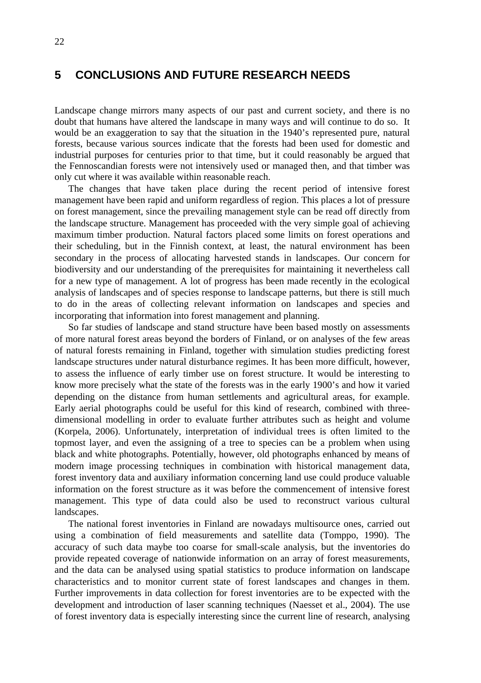### **5 CONCLUSIONS AND FUTURE RESEARCH NEEDS**

Landscape change mirrors many aspects of our past and current society, and there is no doubt that humans have altered the landscape in many ways and will continue to do so. It would be an exaggeration to say that the situation in the 1940's represented pure, natural forests, because various sources indicate that the forests had been used for domestic and industrial purposes for centuries prior to that time, but it could reasonably be argued that the Fennoscandian forests were not intensively used or managed then, and that timber was only cut where it was available within reasonable reach.

The changes that have taken place during the recent period of intensive forest management have been rapid and uniform regardless of region. This places a lot of pressure on forest management, since the prevailing management style can be read off directly from the landscape structure. Management has proceeded with the very simple goal of achieving maximum timber production. Natural factors placed some limits on forest operations and their scheduling, but in the Finnish context, at least, the natural environment has been secondary in the process of allocating harvested stands in landscapes. Our concern for biodiversity and our understanding of the prerequisites for maintaining it nevertheless call for a new type of management. A lot of progress has been made recently in the ecological analysis of landscapes and of species response to landscape patterns, but there is still much to do in the areas of collecting relevant information on landscapes and species and incorporating that information into forest management and planning.

So far studies of landscape and stand structure have been based mostly on assessments of more natural forest areas beyond the borders of Finland, or on analyses of the few areas of natural forests remaining in Finland, together with simulation studies predicting forest landscape structures under natural disturbance regimes. It has been more difficult, however, to assess the influence of early timber use on forest structure. It would be interesting to know more precisely what the state of the forests was in the early 1900's and how it varied depending on the distance from human settlements and agricultural areas, for example. Early aerial photographs could be useful for this kind of research, combined with threedimensional modelling in order to evaluate further attributes such as height and volume (Korpela, 2006). Unfortunately, interpretation of individual trees is often limited to the topmost layer, and even the assigning of a tree to species can be a problem when using black and white photographs. Potentially, however, old photographs enhanced by means of modern image processing techniques in combination with historical management data, forest inventory data and auxiliary information concerning land use could produce valuable information on the forest structure as it was before the commencement of intensive forest management. This type of data could also be used to reconstruct various cultural landscapes.

The national forest inventories in Finland are nowadays multisource ones, carried out using a combination of field measurements and satellite data (Tomppo, 1990). The accuracy of such data maybe too coarse for small-scale analysis, but the inventories do provide repeated coverage of nationwide information on an array of forest measurements, and the data can be analysed using spatial statistics to produce information on landscape characteristics and to monitor current state of forest landscapes and changes in them. Further improvements in data collection for forest inventories are to be expected with the development and introduction of laser scanning techniques (Naesset et al., 2004). The use of forest inventory data is especially interesting since the current line of research, analysing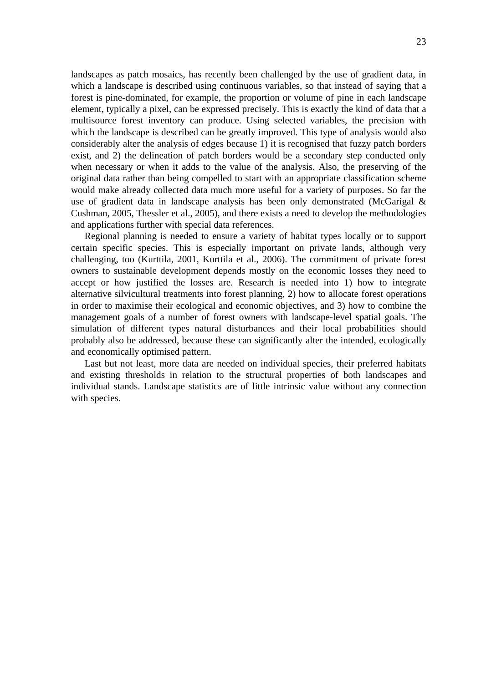landscapes as patch mosaics, has recently been challenged by the use of gradient data, in which a landscape is described using continuous variables, so that instead of saying that a forest is pine-dominated, for example, the proportion or volume of pine in each landscape element, typically a pixel, can be expressed precisely. This is exactly the kind of data that a multisource forest inventory can produce. Using selected variables, the precision with which the landscape is described can be greatly improved. This type of analysis would also considerably alter the analysis of edges because 1) it is recognised that fuzzy patch borders exist, and 2) the delineation of patch borders would be a secondary step conducted only when necessary or when it adds to the value of the analysis. Also, the preserving of the original data rather than being compelled to start with an appropriate classification scheme would make already collected data much more useful for a variety of purposes. So far the use of gradient data in landscape analysis has been only demonstrated (McGarigal & Cushman, 2005, Thessler et al., 2005), and there exists a need to develop the methodologies and applications further with special data references.

Regional planning is needed to ensure a variety of habitat types locally or to support certain specific species. This is especially important on private lands, although very challenging, too (Kurttila, 2001, Kurttila et al., 2006). The commitment of private forest owners to sustainable development depends mostly on the economic losses they need to accept or how justified the losses are. Research is needed into 1) how to integrate alternative silvicultural treatments into forest planning, 2) how to allocate forest operations in order to maximise their ecological and economic objectives, and 3) how to combine the management goals of a number of forest owners with landscape-level spatial goals. The simulation of different types natural disturbances and their local probabilities should probably also be addressed, because these can significantly alter the intended, ecologically and economically optimised pattern.

Last but not least, more data are needed on individual species, their preferred habitats and existing thresholds in relation to the structural properties of both landscapes and individual stands. Landscape statistics are of little intrinsic value without any connection with species.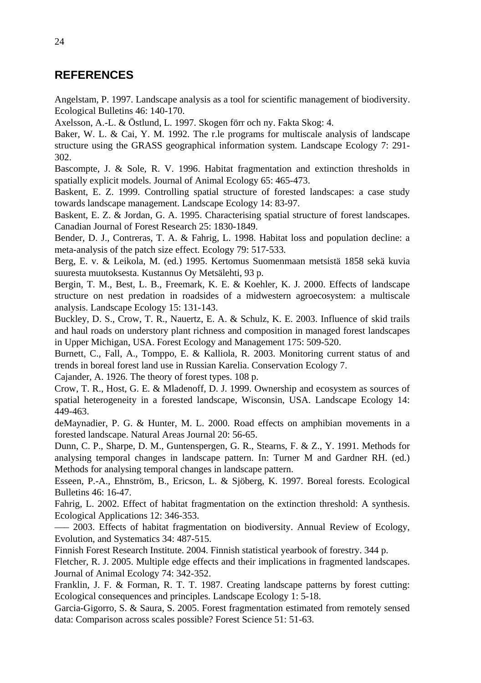## **REFERENCES**

Angelstam, P. 1997. Landscape analysis as a tool for scientific management of biodiversity. Ecological Bulletins 46: 140-170.

Axelsson, A.-L. & Östlund, L. 1997. Skogen förr och ny. Fakta Skog: 4.

Baker, W. L. & Cai, Y. M. 1992. The r.le programs for multiscale analysis of landscape structure using the GRASS geographical information system. Landscape Ecology 7: 291- 302.

Bascompte, J. & Sole, R. V. 1996. Habitat fragmentation and extinction thresholds in spatially explicit models. Journal of Animal Ecology 65: 465-473.

Baskent, E. Z. 1999. Controlling spatial structure of forested landscapes: a case study towards landscape management. Landscape Ecology 14: 83-97.

Baskent, E. Z. & Jordan, G. A. 1995. Characterising spatial structure of forest landscapes. Canadian Journal of Forest Research 25: 1830-1849.

Bender, D. J., Contreras, T. A. & Fahrig, L. 1998. Habitat loss and population decline: a meta-analysis of the patch size effect. Ecology 79: 517-533.

Berg, E. v. & Leikola, M. (ed.) 1995. Kertomus Suomenmaan metsistä 1858 sekä kuvia suuresta muutoksesta. Kustannus Oy Metsälehti, 93 p.

Bergin, T. M., Best, L. B., Freemark, K. E. & Koehler, K. J. 2000. Effects of landscape structure on nest predation in roadsides of a midwestern agroecosystem: a multiscale analysis. Landscape Ecology 15: 131-143.

Buckley, D. S., Crow, T. R., Nauertz, E. A. & Schulz, K. E. 2003. Influence of skid trails and haul roads on understory plant richness and composition in managed forest landscapes in Upper Michigan, USA. Forest Ecology and Management 175: 509-520.

Burnett, C., Fall, A., Tomppo, E. & Kalliola, R. 2003. Monitoring current status of and trends in boreal forest land use in Russian Karelia. Conservation Ecology 7.

Cajander, A. 1926. The theory of forest types. 108 p.

Crow, T. R., Host, G. E. & Mladenoff, D. J. 1999. Ownership and ecosystem as sources of spatial heterogeneity in a forested landscape, Wisconsin, USA. Landscape Ecology 14: 449-463.

deMaynadier, P. G. & Hunter, M. L. 2000. Road effects on amphibian movements in a forested landscape. Natural Areas Journal 20: 56-65.

Dunn, C. P., Sharpe, D. M., Guntenspergen, G. R., Stearns, F. & Z., Y. 1991. Methods for analysing temporal changes in landscape pattern. In: Turner M and Gardner RH. (ed.) Methods for analysing temporal changes in landscape pattern.

Esseen, P.-A., Ehnström, B., Ericson, L. & Sjöberg, K. 1997. Boreal forests. Ecological Bulletins 46: 16-47.

Fahrig, L. 2002. Effect of habitat fragmentation on the extinction threshold: A synthesis. Ecological Applications 12: 346-353.

––– 2003. Effects of habitat fragmentation on biodiversity. Annual Review of Ecology, Evolution, and Systematics 34: 487-515.

Finnish Forest Research Institute. 2004. Finnish statistical yearbook of forestry. 344 p.

Fletcher, R. J. 2005. Multiple edge effects and their implications in fragmented landscapes. Journal of Animal Ecology 74: 342-352.

Franklin, J. F. & Forman, R. T. T. 1987. Creating landscape patterns by forest cutting: Ecological consequences and principles. Landscape Ecology 1: 5-18.

Garcia-Gigorro, S. & Saura, S. 2005. Forest fragmentation estimated from remotely sensed data: Comparison across scales possible? Forest Science 51: 51-63.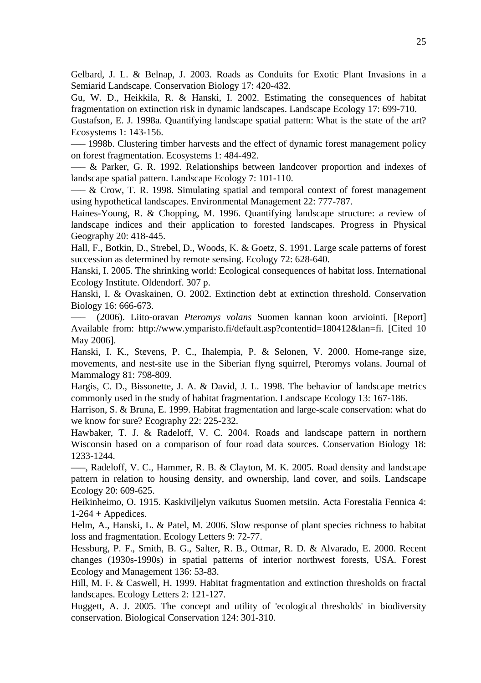Gelbard, J. L. & Belnap, J. 2003. Roads as Conduits for Exotic Plant Invasions in a Semiarid Landscape. Conservation Biology 17: 420-432.

Gu, W. D., Heikkila, R. & Hanski, I. 2002. Estimating the consequences of habitat fragmentation on extinction risk in dynamic landscapes. Landscape Ecology 17: 699-710.

Gustafson, E. J. 1998a. Quantifying landscape spatial pattern: What is the state of the art? Ecosystems 1: 143-156.

––– 1998b. Clustering timber harvests and the effect of dynamic forest management policy on forest fragmentation. Ecosystems 1: 484-492.

––– & Parker, G. R. 1992. Relationships between landcover proportion and indexes of landscape spatial pattern. Landscape Ecology 7: 101-110.

 $-$  & Crow, T. R. 1998. Simulating spatial and temporal context of forest management using hypothetical landscapes. Environmental Management 22: 777-787.

Haines-Young, R. & Chopping, M. 1996. Quantifying landscape structure: a review of landscape indices and their application to forested landscapes. Progress in Physical Geography 20: 418-445.

Hall, F., Botkin, D., Strebel, D., Woods, K. & Goetz, S. 1991. Large scale patterns of forest succession as determined by remote sensing. Ecology 72: 628-640.

Hanski, I. 2005. The shrinking world: Ecological consequences of habitat loss. International Ecology Institute. Oldendorf. 307 p.

Hanski, I. & Ovaskainen, O. 2002. Extinction debt at extinction threshold. Conservation Biology 16: 666-673.

––– (2006). Liito-oravan *Pteromys volans* Suomen kannan koon arviointi. [Report] Available from: http://www.ymparisto.fi/default.asp?contentid=180412&lan=fi. [Cited 10 May 2006].

Hanski, I. K., Stevens, P. C., Ihalempia, P. & Selonen, V. 2000. Home-range size, movements, and nest-site use in the Siberian flyng squirrel, Pteromys volans. Journal of Mammalogy 81: 798-809.

Hargis, C. D., Bissonette, J. A. & David, J. L. 1998. The behavior of landscape metrics commonly used in the study of habitat fragmentation. Landscape Ecology 13: 167-186.

Harrison, S. & Bruna, E. 1999. Habitat fragmentation and large-scale conservation: what do we know for sure? Ecography 22: 225-232.

Hawbaker, T. J. & Radeloff, V. C. 2004. Roads and landscape pattern in northern Wisconsin based on a comparison of four road data sources. Conservation Biology 18: 1233-1244.

–––, Radeloff, V. C., Hammer, R. B. & Clayton, M. K. 2005. Road density and landscape pattern in relation to housing density, and ownership, land cover, and soils. Landscape Ecology 20: 609-625.

Heikinheimo, O. 1915. Kaskiviljelyn vaikutus Suomen metsiin. Acta Forestalia Fennica 4:  $1-264 + \text{Appedices}.$ 

Helm, A., Hanski, L. & Patel, M. 2006. Slow response of plant species richness to habitat loss and fragmentation. Ecology Letters 9: 72-77.

Hessburg, P. F., Smith, B. G., Salter, R. B., Ottmar, R. D. & Alvarado, E. 2000. Recent changes (1930s-1990s) in spatial patterns of interior northwest forests, USA. Forest Ecology and Management 136: 53-83.

Hill, M. F. & Caswell, H. 1999. Habitat fragmentation and extinction thresholds on fractal landscapes. Ecology Letters 2: 121-127.

Huggett, A. J. 2005. The concept and utility of 'ecological thresholds' in biodiversity conservation. Biological Conservation 124: 301-310.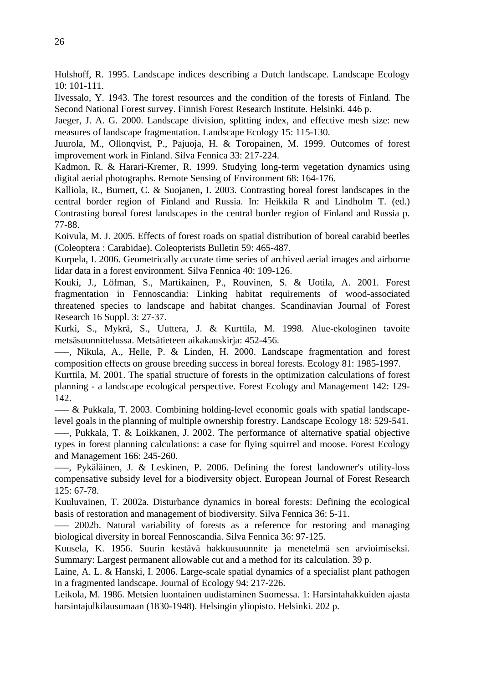Hulshoff, R. 1995. Landscape indices describing a Dutch landscape. Landscape Ecology 10: 101-111.

Ilvessalo, Y. 1943. The forest resources and the condition of the forests of Finland. The Second National Forest survey. Finnish Forest Research Institute. Helsinki. 446 p.

Jaeger, J. A. G. 2000. Landscape division, splitting index, and effective mesh size: new measures of landscape fragmentation. Landscape Ecology 15: 115-130.

Juurola, M., Ollonqvist, P., Pajuoja, H. & Toropainen, M. 1999. Outcomes of forest improvement work in Finland. Silva Fennica 33: 217-224.

Kadmon, R. & Harari-Kremer, R. 1999. Studying long-term vegetation dynamics using digital aerial photographs. Remote Sensing of Environment 68: 164-176.

Kalliola, R., Burnett, C. & Suojanen, I. 2003. Contrasting boreal forest landscapes in the central border region of Finland and Russia. In: Heikkila R and Lindholm T. (ed.) Contrasting boreal forest landscapes in the central border region of Finland and Russia p. 77-88.

Koivula, M. J. 2005. Effects of forest roads on spatial distribution of boreal carabid beetles (Coleoptera : Carabidae). Coleopterists Bulletin 59: 465-487.

Korpela, I. 2006. Geometrically accurate time series of archived aerial images and airborne lidar data in a forest environment. Silva Fennica 40: 109-126.

Kouki, J., Löfman, S., Martikainen, P., Rouvinen, S. & Uotila, A. 2001. Forest fragmentation in Fennoscandia: Linking habitat requirements of wood-associated threatened species to landscape and habitat changes. Scandinavian Journal of Forest Research 16 Suppl. 3: 27-37.

Kurki, S., Mykrä, S., Uuttera, J. & Kurttila, M. 1998. Alue-ekologinen tavoite metsäsuunnittelussa. Metsätieteen aikakauskirja: 452-456.

–––, Nikula, A., Helle, P. & Linden, H. 2000. Landscape fragmentation and forest composition effects on grouse breeding success in boreal forests. Ecology 81: 1985-1997.

Kurttila, M. 2001. The spatial structure of forests in the optimization calculations of forest planning - a landscape ecological perspective. Forest Ecology and Management 142: 129- 142.

––– & Pukkala, T. 2003. Combining holding-level economic goals with spatial landscapelevel goals in the planning of multiple ownership forestry. Landscape Ecology 18: 529-541.

–––, Pukkala, T. & Loikkanen, J. 2002. The performance of alternative spatial objective types in forest planning calculations: a case for flying squirrel and moose. Forest Ecology and Management 166: 245-260.

–––, Pykäläinen, J. & Leskinen, P. 2006. Defining the forest landowner's utility-loss compensative subsidy level for a biodiversity object. European Journal of Forest Research 125: 67-78.

Kuuluvainen, T. 2002a. Disturbance dynamics in boreal forests: Defining the ecological basis of restoration and management of biodiversity. Silva Fennica 36: 5-11.

––– 2002b. Natural variability of forests as a reference for restoring and managing biological diversity in boreal Fennoscandia. Silva Fennica 36: 97-125.

Kuusela, K. 1956. Suurin kestävä hakkuusuunnite ja menetelmä sen arvioimiseksi. Summary: Largest permanent allowable cut and a method for its calculation. 39 p.

Laine, A. L. & Hanski, I. 2006. Large-scale spatial dynamics of a specialist plant pathogen in a fragmented landscape. Journal of Ecology 94: 217-226.

Leikola, M. 1986. Metsien luontainen uudistaminen Suomessa. 1: Harsintahakkuiden ajasta harsintajulkilausumaan (1830-1948). Helsingin yliopisto. Helsinki. 202 p.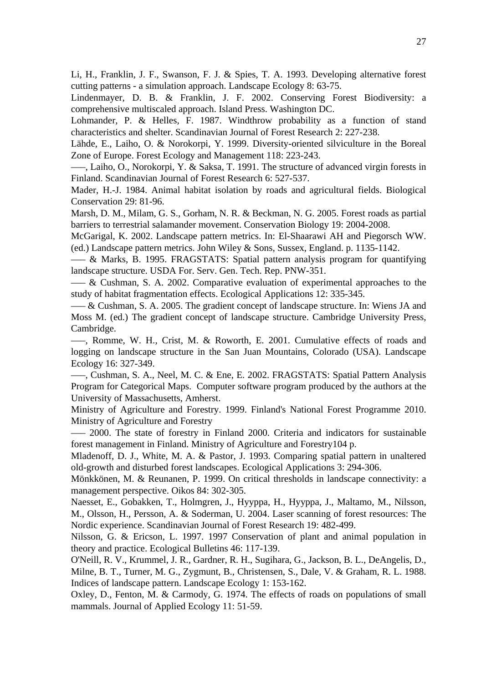Li, H., Franklin, J. F., Swanson, F. J. & Spies, T. A. 1993. Developing alternative forest cutting patterns - a simulation approach. Landscape Ecology 8: 63-75.

Lindenmayer, D. B. & Franklin, J. F. 2002. Conserving Forest Biodiversity: a comprehensive multiscaled approach. Island Press. Washington DC.

Lohmander, P. & Helles, F. 1987. Windthrow probability as a function of stand characteristics and shelter. Scandinavian Journal of Forest Research 2: 227-238.

Lähde, E., Laiho, O. & Norokorpi, Y. 1999. Diversity-oriented silviculture in the Boreal Zone of Europe. Forest Ecology and Management 118: 223-243.

–––, Laiho, O., Norokorpi, Y. & Saksa, T. 1991. The structure of advanced virgin forests in Finland. Scandinavian Journal of Forest Research 6: 527-537.

Mader, H.-J. 1984. Animal habitat isolation by roads and agricultural fields. Biological Conservation 29: 81-96.

Marsh, D. M., Milam, G. S., Gorham, N. R. & Beckman, N. G. 2005. Forest roads as partial barriers to terrestrial salamander movement. Conservation Biology 19: 2004-2008.

McGarigal, K. 2002. Landscape pattern metrics. In: El-Shaarawi AH and Piegorsch WW. (ed.) Landscape pattern metrics. John Wiley & Sons, Sussex, England. p. 1135-1142.

––– & Marks, B. 1995. FRAGSTATS: Spatial pattern analysis program for quantifying landscape structure. USDA For. Serv. Gen. Tech. Rep. PNW-351.

––– & Cushman, S. A. 2002. Comparative evaluation of experimental approaches to the study of habitat fragmentation effects. Ecological Applications 12: 335-345.

––– & Cushman, S. A. 2005. The gradient concept of landscape structure. In: Wiens JA and Moss M. (ed.) The gradient concept of landscape structure. Cambridge University Press, Cambridge.

–––, Romme, W. H., Crist, M. & Roworth, E. 2001. Cumulative effects of roads and logging on landscape structure in the San Juan Mountains, Colorado (USA). Landscape Ecology 16: 327-349.

–––, Cushman, S. A., Neel, M. C. & Ene, E. 2002. FRAGSTATS: Spatial Pattern Analysis Program for Categorical Maps. Computer software program produced by the authors at the University of Massachusetts, Amherst.

Ministry of Agriculture and Forestry. 1999. Finland's National Forest Programme 2010. Ministry of Agriculture and Forestry

––– 2000. The state of forestry in Finland 2000. Criteria and indicators for sustainable forest management in Finland. Ministry of Agriculture and Forestry104 p.

Mladenoff, D. J., White, M. A. & Pastor, J. 1993. Comparing spatial pattern in unaltered old-growth and disturbed forest landscapes. Ecological Applications 3: 294-306.

Mönkkönen, M. & Reunanen, P. 1999. On critical thresholds in landscape connectivity: a management perspective. Oikos 84: 302-305.

Naesset, E., Gobakken, T., Holmgren, J., Hyyppa, H., Hyyppa, J., Maltamo, M., Nilsson, M., Olsson, H., Persson, A. & Soderman, U. 2004. Laser scanning of forest resources: The Nordic experience. Scandinavian Journal of Forest Research 19: 482-499.

Nilsson, G. & Ericson, L. 1997. 1997 Conservation of plant and animal population in theory and practice. Ecological Bulletins 46: 117-139.

O'Neill, R. V., Krummel, J. R., Gardner, R. H., Sugihara, G., Jackson, B. L., DeAngelis, D., Milne, B. T., Turner, M. G., Zygmunt, B., Christensen, S., Dale, V. & Graham, R. L. 1988. Indices of landscape pattern. Landscape Ecology 1: 153-162.

Oxley, D., Fenton, M. & Carmody, G. 1974. The effects of roads on populations of small mammals. Journal of Applied Ecology 11: 51-59.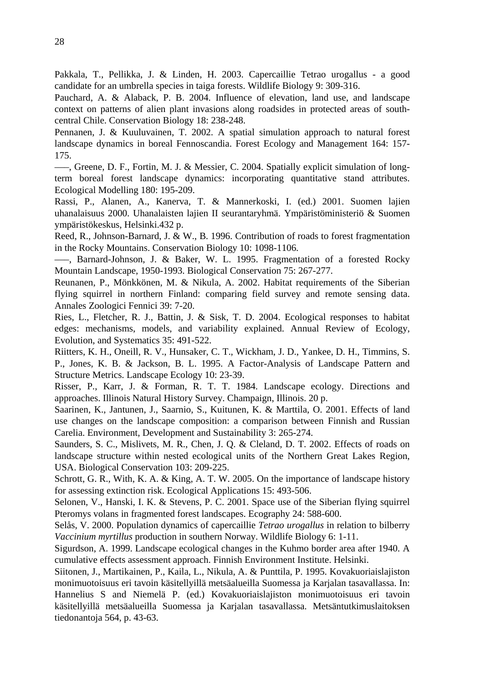Pakkala, T., Pellikka, J. & Linden, H. 2003. Capercaillie Tetrao urogallus - a good candidate for an umbrella species in taiga forests. Wildlife Biology 9: 309-316.

Pauchard, A. & Alaback, P. B. 2004. Influence of elevation, land use, and landscape context on patterns of alien plant invasions along roadsides in protected areas of southcentral Chile. Conservation Biology 18: 238-248.

Pennanen, J. & Kuuluvainen, T. 2002. A spatial simulation approach to natural forest landscape dynamics in boreal Fennoscandia. Forest Ecology and Management 164: 157- 175.

–––, Greene, D. F., Fortin, M. J. & Messier, C. 2004. Spatially explicit simulation of longterm boreal forest landscape dynamics: incorporating quantitative stand attributes. Ecological Modelling 180: 195-209.

Rassi, P., Alanen, A., Kanerva, T. & Mannerkoski, I. (ed.) 2001. Suomen lajien uhanalaisuus 2000. Uhanalaisten lajien II seurantaryhmä. Ympäristöministeriö & Suomen ympäristökeskus, Helsinki.432 p.

Reed, R., Johnson-Barnard, J. & W., B. 1996. Contribution of roads to forest fragmentation in the Rocky Mountains. Conservation Biology 10: 1098-1106.

–––, Barnard-Johnson, J. & Baker, W. L. 1995. Fragmentation of a forested Rocky Mountain Landscape, 1950-1993. Biological Conservation 75: 267-277.

Reunanen, P., Mönkkönen, M. & Nikula, A. 2002. Habitat requirements of the Siberian flying squirrel in northern Finland: comparing field survey and remote sensing data. Annales Zoologici Fennici 39: 7-20.

Ries, L., Fletcher, R. J., Battin, J. & Sisk, T. D. 2004. Ecological responses to habitat edges: mechanisms, models, and variability explained. Annual Review of Ecology, Evolution, and Systematics 35: 491-522.

Riitters, K. H., Oneill, R. V., Hunsaker, C. T., Wickham, J. D., Yankee, D. H., Timmins, S. P., Jones, K. B. & Jackson, B. L. 1995. A Factor-Analysis of Landscape Pattern and Structure Metrics. Landscape Ecology 10: 23-39.

Risser, P., Karr, J. & Forman, R. T. T. 1984. Landscape ecology. Directions and approaches. Illinois Natural History Survey. Champaign, Illinois. 20 p.

Saarinen, K., Jantunen, J., Saarnio, S., Kuitunen, K. & Marttila, O. 2001. Effects of land use changes on the landscape composition: a comparison between Finnish and Russian Carelia. Environment, Development and Sustainability 3: 265-274.

Saunders, S. C., Mislivets, M. R., Chen, J. Q. & Cleland, D. T. 2002. Effects of roads on landscape structure within nested ecological units of the Northern Great Lakes Region, USA. Biological Conservation 103: 209-225.

Schrott, G. R., With, K. A. & King, A. T. W. 2005. On the importance of landscape history for assessing extinction risk. Ecological Applications 15: 493-506.

Selonen, V., Hanski, I. K. & Stevens, P. C. 2001. Space use of the Siberian flying squirrel Pteromys volans in fragmented forest landscapes. Ecography 24: 588-600.

Selås, V. 2000. Population dynamics of capercaillie *Tetrao urogallus* in relation to bilberry *Vaccinium myrtillus* production in southern Norway. Wildlife Biology 6: 1-11.

Sigurdson, A. 1999. Landscape ecological changes in the Kuhmo border area after 1940. A cumulative effects assessment approach. Finnish Environment Institute. Helsinki.

Siitonen, J., Martikainen, P., Kaila, L., Nikula, A. & Punttila, P. 1995. Kovakuoriaislajiston monimuotoisuus eri tavoin käsitellyillä metsäalueilla Suomessa ja Karjalan tasavallassa. In: Hannelius S and Niemelä P. (ed.) Kovakuoriaislajiston monimuotoisuus eri tavoin käsitellyillä metsäalueilla Suomessa ja Karjalan tasavallassa. Metsäntutkimuslaitoksen tiedonantoja 564, p. 43-63.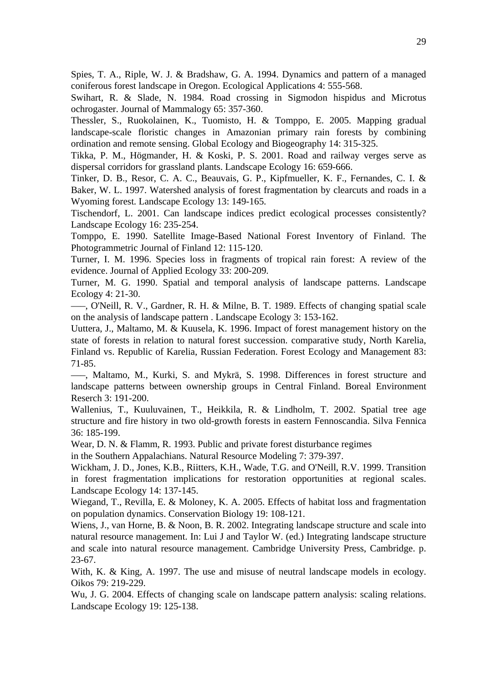Spies, T. A., Riple, W. J. & Bradshaw, G. A. 1994. Dynamics and pattern of a managed coniferous forest landscape in Oregon. Ecological Applications 4: 555-568.

Swihart, R. & Slade, N. 1984. Road crossing in Sigmodon hispidus and Microtus ochrogaster. Journal of Mammalogy 65: 357-360.

Thessler, S., Ruokolainen, K., Tuomisto, H. & Tomppo, E. 2005. Mapping gradual landscape-scale floristic changes in Amazonian primary rain forests by combining ordination and remote sensing. Global Ecology and Biogeography 14: 315-325.

Tikka, P. M., Högmander, H. & Koski, P. S. 2001. Road and railway verges serve as dispersal corridors for grassland plants. Landscape Ecology 16: 659-666.

Tinker, D. B., Resor, C. A. C., Beauvais, G. P., Kipfmueller, K. F., Fernandes, C. I. & Baker, W. L. 1997. Watershed analysis of forest fragmentation by clearcuts and roads in a Wyoming forest. Landscape Ecology 13: 149-165.

Tischendorf, L. 2001. Can landscape indices predict ecological processes consistently? Landscape Ecology 16: 235-254.

Tomppo, E. 1990. Satellite Image-Based National Forest Inventory of Finland. The Photogrammetric Journal of Finland 12: 115-120.

Turner, I. M. 1996. Species loss in fragments of tropical rain forest: A review of the evidence. Journal of Applied Ecology 33: 200-209.

Turner, M. G. 1990. Spatial and temporal analysis of landscape patterns. Landscape Ecology 4: 21-30.

–––, O'Neill, R. V., Gardner, R. H. & Milne, B. T. 1989. Effects of changing spatial scale on the analysis of landscape pattern . Landscape Ecology 3: 153-162.

Uuttera, J., Maltamo, M. & Kuusela, K. 1996. Impact of forest management history on the state of forests in relation to natural forest succession. comparative study, North Karelia, Finland vs. Republic of Karelia, Russian Federation. Forest Ecology and Management 83: 71-85.

–––, Maltamo, M., Kurki, S. and Mykrä, S. 1998. Differences in forest structure and landscape patterns between ownership groups in Central Finland. Boreal Environment Reserch 3: 191-200.

Wallenius, T., Kuuluvainen, T., Heikkila, R. & Lindholm, T. 2002. Spatial tree age structure and fire history in two old-growth forests in eastern Fennoscandia. Silva Fennica 36: 185-199.

Wear, D. N. & Flamm, R. 1993. Public and private forest disturbance regimes

in the Southern Appalachians. Natural Resource Modeling 7: 379-397.

Wickham, J. D., Jones, K.B., Riitters, K.H., Wade, T.G. and O'Neill, R.V. 1999. Transition in forest fragmentation implications for restoration opportunities at regional scales. Landscape Ecology 14: 137-145.

Wiegand, T., Revilla, E. & Moloney, K. A. 2005. Effects of habitat loss and fragmentation on population dynamics. Conservation Biology 19: 108-121.

Wiens, J., van Horne, B. & Noon, B. R. 2002. Integrating landscape structure and scale into natural resource management. In: Lui J and Taylor W. (ed.) Integrating landscape structure and scale into natural resource management. Cambridge University Press, Cambridge. p. 23-67.

With, K. & King, A. 1997. The use and misuse of neutral landscape models in ecology. Oikos 79: 219-229.

Wu, J. G. 2004. Effects of changing scale on landscape pattern analysis: scaling relations. Landscape Ecology 19: 125-138.